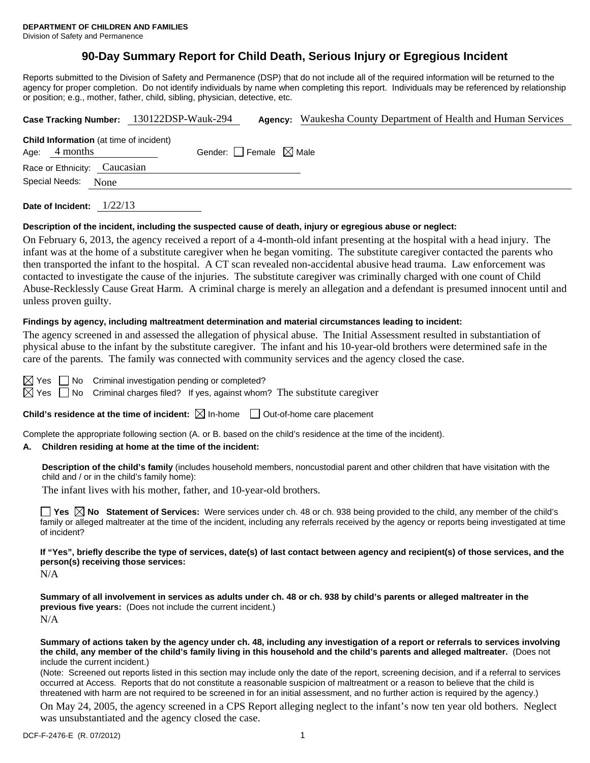# **90-Day Summary Report for Child Death, Serious Injury or Egregious Incident**

Reports submitted to the Division of Safety and Permanence (DSP) that do not include all of the required information will be returned to the agency for proper completion. Do not identify individuals by name when completing this report. Individuals may be referenced by relationship or position; e.g., mother, father, child, sibling, physician, detective, etc.

|                        |                                                            |  | Case Tracking Number: 130122DSP-Wauk-294 |  | <b>Agency:</b> Waukesha County Department of Health and Human Services |  |  |
|------------------------|------------------------------------------------------------|--|------------------------------------------|--|------------------------------------------------------------------------|--|--|
| Age:                   | <b>Child Information</b> (at time of incident)<br>4 months |  | Gender: Female $\boxtimes$ Male          |  |                                                                        |  |  |
|                        | Race or Ethnicity: Caucasian                               |  |                                          |  |                                                                        |  |  |
| Special Needs:<br>None |                                                            |  |                                          |  |                                                                        |  |  |
|                        |                                                            |  |                                          |  |                                                                        |  |  |

**Date of Incident:** 1/22/13

#### **Description of the incident, including the suspected cause of death, injury or egregious abuse or neglect:**

On February 6, 2013, the agency received a report of a 4-month-old infant presenting at the hospital with a head injury. The infant was at the home of a substitute caregiver when he began vomiting. The substitute caregiver contacted the parents who then transported the infant to the hospital. A CT scan revealed non-accidental abusive head trauma. Law enforcement was contacted to investigate the cause of the injuries. The substitute caregiver was criminally charged with one count of Child Abuse-Recklessly Cause Great Harm. A criminal charge is merely an allegation and a defendant is presumed innocent until and unless proven guilty.

#### **Findings by agency, including maltreatment determination and material circumstances leading to incident:**

The agency screened in and assessed the allegation of physical abuse. The Initial Assessment resulted in substantiation of physical abuse to the infant by the substitute caregiver. The infant and his 10-year-old brothers were determined safe in the care of the parents. The family was connected with community services and the agency closed the case.

 $\boxtimes$  Yes  $\Box$  No Criminal investigation pending or completed?

 $\boxtimes$  Yes  $\Box$  No Criminal charges filed? If yes, against whom? The substitute caregiver

**Child's residence at the time of incident:**  $\boxtimes$  In-home  $\Box$  Out-of-home care placement

Complete the appropriate following section (A. or B. based on the child's residence at the time of the incident).

#### **A. Children residing at home at the time of the incident:**

**Description of the child's family** (includes household members, noncustodial parent and other children that have visitation with the child and / or in the child's family home):

The infant lives with his mother, father, and 10-year-old brothers.

■ Yes △ No Statement of Services: Were services under ch. 48 or ch. 938 being provided to the child, any member of the child's family or alleged maltreater at the time of the incident, including any referrals received by the agency or reports being investigated at time of incident?

**If "Yes", briefly describe the type of services, date(s) of last contact between agency and recipient(s) of those services, and the person(s) receiving those services:** 

N/A

**Summary of all involvement in services as adults under ch. 48 or ch. 938 by child's parents or alleged maltreater in the previous five years:** (Does not include the current incident.) N/A

**Summary of actions taken by the agency under ch. 48, including any investigation of a report or referrals to services involving the child, any member of the child's family living in this household and the child's parents and alleged maltreater.** (Does not include the current incident.)

(Note: Screened out reports listed in this section may include only the date of the report, screening decision, and if a referral to services occurred at Access. Reports that do not constitute a reasonable suspicion of maltreatment or a reason to believe that the child is threatened with harm are not required to be screened in for an initial assessment, and no further action is required by the agency.)

On May 24, 2005, the agency screened in a CPS Report alleging neglect to the infant's now ten year old bothers. Neglect was unsubstantiated and the agency closed the case.